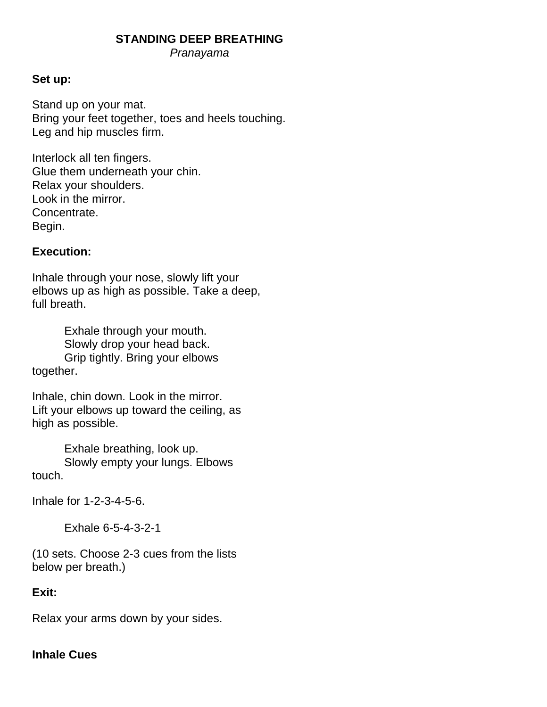### **STANDING DEEP BREATHING**

*Pranayama*

#### **Set up:**

Stand up on your mat. Bring your feet together, toes and heels touching. Leg and hip muscles firm.

Interlock all ten fingers. Glue them underneath your chin. Relax your shoulders. Look in the mirror. Concentrate. Begin.

#### **Execution:**

Inhale through your nose, slowly lift your elbows up as high as possible. Take a deep, full breath.

Exhale through your mouth. Slowly drop your head back. Grip tightly. Bring your elbows together.

Inhale, chin down. Look in the mirror. Lift your elbows up toward the ceiling, as high as possible.

Exhale breathing, look up. Slowly empty your lungs. Elbows touch.

Inhale for 1-2-3-4-5-6.

Exhale 6-5-4-3-2-1

(10 sets. Choose 2-3 cues from the lists below per breath.)

#### **Exit:**

Relax your arms down by your sides.

## **Inhale Cues**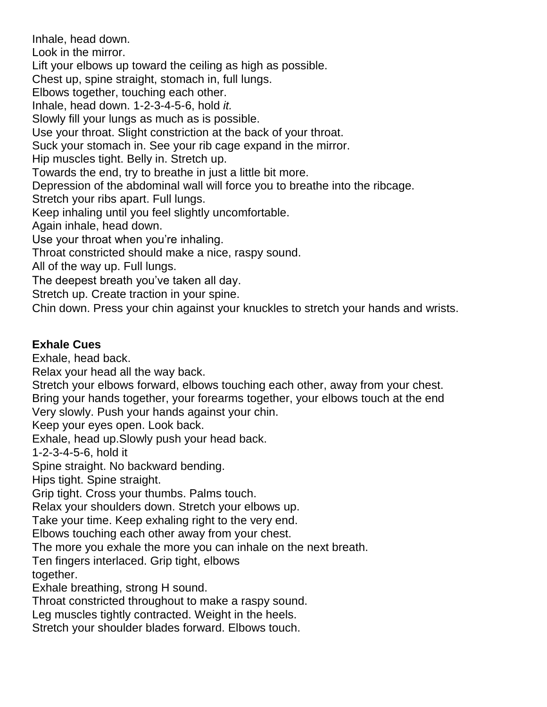Inhale, head down. Look in the mirror. Lift your elbows up toward the ceiling as high as possible. Chest up, spine straight, stomach in, full lungs. Elbows together, touching each other. Inhale, head down. 1-2-3-4-5-6, hold *it.* Slowly fill your lungs as much as is possible. Use your throat. Slight constriction at the back of your throat. Suck your stomach in. See your rib cage expand in the mirror. Hip muscles tight. Belly in. Stretch up. Towards the end, try to breathe in just a little bit more. Depression of the abdominal wall will force you to breathe into the ribcage. Stretch your ribs apart. Full lungs. Keep inhaling until you feel slightly uncomfortable. Again inhale, head down. Use your throat when you're inhaling. Throat constricted should make a nice, raspy sound. All of the way up. Full lungs. The deepest breath you've taken all day. Stretch up. Create traction in your spine.

Chin down. Press your chin against your knuckles to stretch your hands and wrists.

## **Exhale Cues**

Exhale, head back.

Relax your head all the way back.

Stretch your elbows forward, elbows touching each other, away from your chest. Bring your hands together, your forearms together, your elbows touch at the end Very slowly. Push your hands against your chin.

Keep your eyes open. Look back.

Exhale, head up.Slowly push your head back.

1-2-3-4-5-6, hold it

Spine straight. No backward bending.

Hips tight. Spine straight.

Grip tight. Cross your thumbs. Palms touch.

Relax your shoulders down. Stretch your elbows up.

Take your time. Keep exhaling right to the very end.

Elbows touching each other away from your chest.

The more you exhale the more you can inhale on the next breath.

Ten fingers interlaced. Grip tight, elbows together.

Exhale breathing, strong H sound.

Throat constricted throughout to make a raspy sound.

Leg muscles tightly contracted. Weight in the heels.

Stretch your shoulder blades forward. Elbows touch.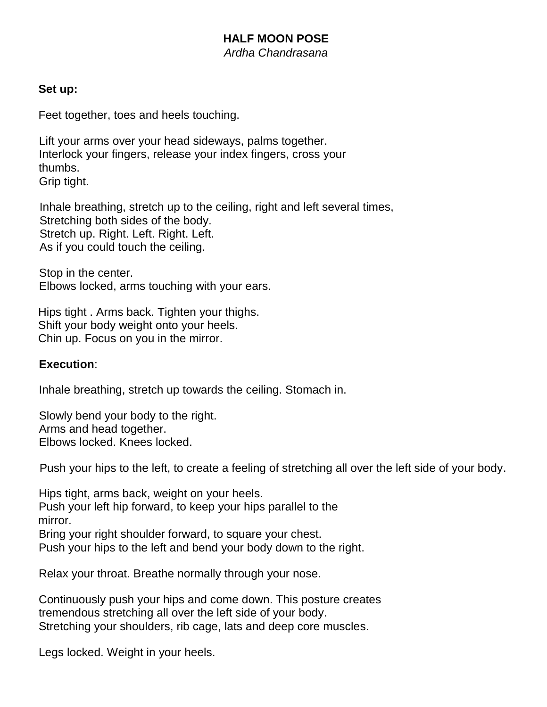# **HALF MOON POSE**

*Ardha Chandrasana*

#### **Set up:**

Feet together, toes and heels touching.

Lift your arms over your head sideways, palms together. Interlock your fingers, release your index fingers, cross your thumbs.

Grip tight.

Inhale breathing, stretch up to the ceiling, right and left several times, Stretching both sides of the body. Stretch up. Right. Left. Right. Left. As if you could touch the ceiling.

Stop in the center. Elbows locked, arms touching with your ears.

Hips tight . Arms back. Tighten your thighs. Shift your body weight onto your heels. Chin up. Focus on you in the mirror.

## **Execution**:

Inhale breathing, stretch up towards the ceiling. Stomach in.

Slowly bend your body to the right. Arms and head together. Elbows locked. Knees locked.

Push your hips to the left, to create a feeling of stretching all over the left side of your body.

Hips tight, arms back, weight on your heels. Push your left hip forward, to keep your hips parallel to the mirror. Bring your right shoulder forward, to square your chest. Push your hips to the left and bend your body down to the right.

Relax your throat. Breathe normally through your nose.

Continuously push your hips and come down. This posture creates tremendous stretching all over the left side of your body. Stretching your shoulders, rib cage, lats and deep core muscles.

Legs locked. Weight in your heels.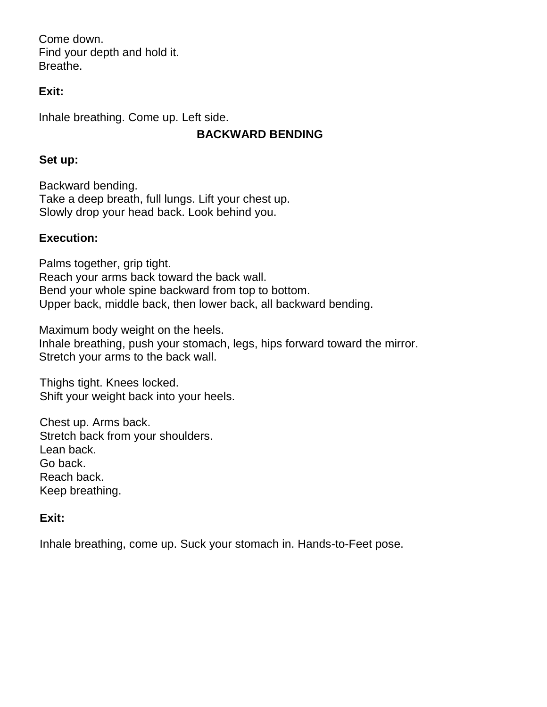Come down. Find your depth and hold it. Breathe.

### **Exit:**

Inhale breathing. Come up. Left side.

# **BACKWARD BENDING**

### **Set up:**

Backward bending. Take a deep breath, full lungs. Lift your chest up. Slowly drop your head back. Look behind you.

### **Execution:**

Palms together, grip tight. Reach your arms back toward the back wall. Bend your whole spine backward from top to bottom. Upper back, middle back, then lower back, all backward bending.

Maximum body weight on the heels.

Inhale breathing, push your stomach, legs, hips forward toward the mirror. Stretch your arms to the back wall.

Thighs tight. Knees locked. Shift your weight back into your heels.

Chest up. Arms back. Stretch back from your shoulders. Lean back. Go back. Reach back. Keep breathing.

#### **Exit:**

Inhale breathing, come up. Suck your stomach in. Hands-to-Feet pose.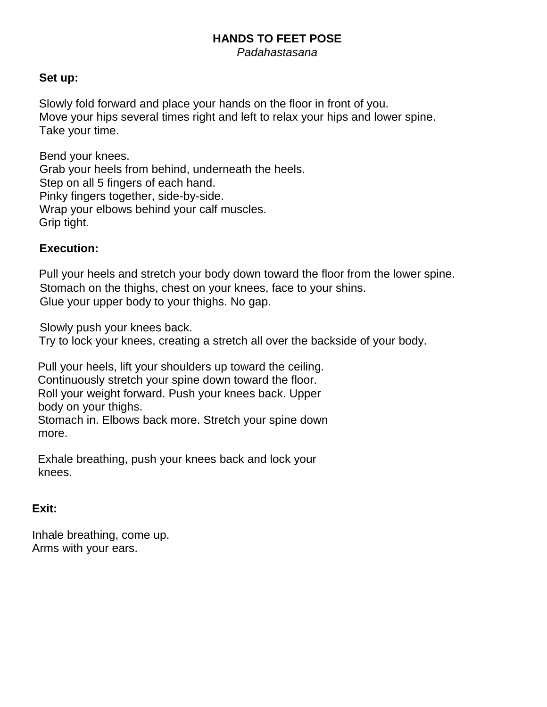### **HANDS TO FEET POSE**

*Padahastasana*

#### **Set up:**

Slowly fold forward and place your hands on the floor in front of you. Move your hips several times right and left to relax your hips and lower spine. Take your time.

Bend your knees. Grab your heels from behind, underneath the heels. Step on all 5 fingers of each hand. Pinky fingers together, side-by-side. Wrap your elbows behind your calf muscles. Grip tight.

#### **Execution:**

Pull your heels and stretch your body down toward the floor from the lower spine. Stomach on the thighs, chest on your knees, face to your shins. Glue your upper body to your thighs. No gap.

Slowly push your knees back.

Try to lock your knees, creating a stretch all over the backside of your body.

Pull your heels, lift your shoulders up toward the ceiling. Continuously stretch your spine down toward the floor. Roll your weight forward. Push your knees back. Upper body on your thighs. Stomach in. Elbows back more. Stretch your spine down more.

Exhale breathing, push your knees back and lock your knees.

#### **Exit:**

Inhale breathing, come up. Arms with your ears.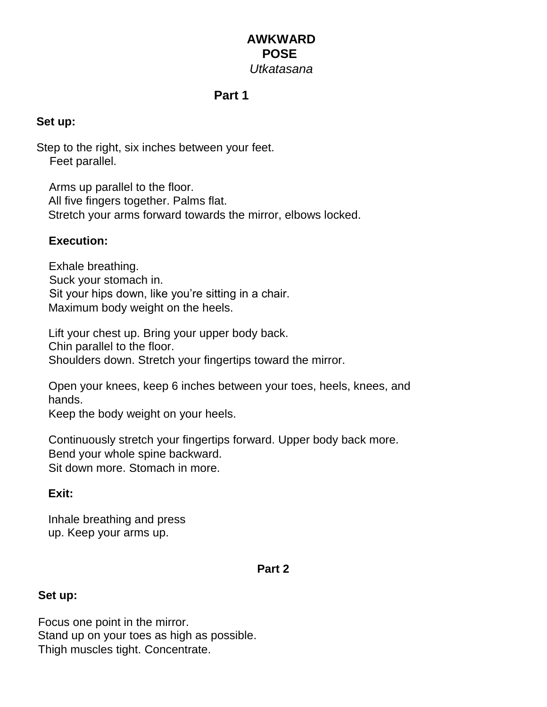# **AWKWARD POSE** *Utkatasana*

# **Part 1**

## **Set up:**

Step to the right, six inches between your feet. Feet parallel.

Arms up parallel to the floor. All five fingers together. Palms flat. Stretch your arms forward towards the mirror, elbows locked.

## **Execution:**

Exhale breathing. Suck your stomach in. Sit your hips down, like you're sitting in a chair. Maximum body weight on the heels.

Lift your chest up. Bring your upper body back. Chin parallel to the floor. Shoulders down. Stretch your fingertips toward the mirror.

Open your knees, keep 6 inches between your toes, heels, knees, and hands.

Keep the body weight on your heels.

Continuously stretch your fingertips forward. Upper body back more. Bend your whole spine backward. Sit down more. Stomach in more.

## **Exit:**

Inhale breathing and press up. Keep your arms up.

## **Part 2**

#### **Set up:**

Focus one point in the mirror. Stand up on your toes as high as possible. Thigh muscles tight. Concentrate.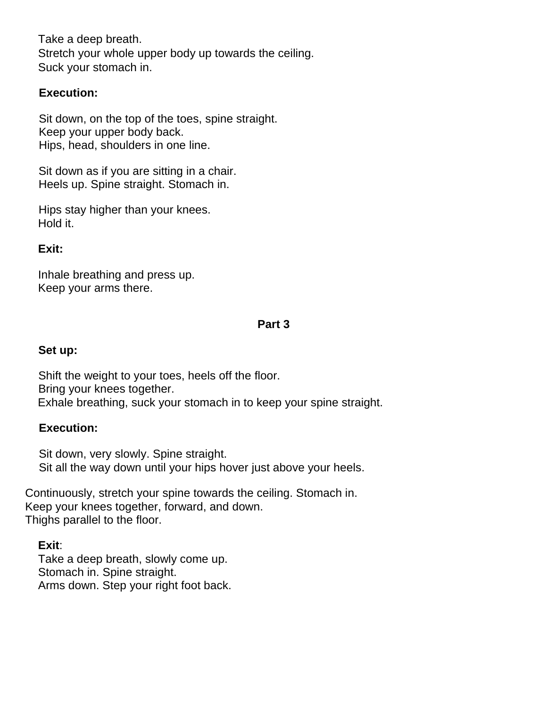Take a deep breath. Stretch your whole upper body up towards the ceiling. Suck your stomach in.

## **Execution:**

Sit down, on the top of the toes, spine straight. Keep your upper body back. Hips, head, shoulders in one line.

Sit down as if you are sitting in a chair. Heels up. Spine straight. Stomach in.

Hips stay higher than your knees. Hold it.

### **Exit:**

Inhale breathing and press up. Keep your arms there.

## **Part 3**

#### **Set up:**

Shift the weight to your toes, heels off the floor. Bring your knees together. Exhale breathing, suck your stomach in to keep your spine straight.

#### **Execution:**

Sit down, very slowly. Spine straight. Sit all the way down until your hips hover just above your heels.

Continuously, stretch your spine towards the ceiling. Stomach in. Keep your knees together, forward, and down. Thighs parallel to the floor.

#### **Exit**:

Take a deep breath, slowly come up. Stomach in. Spine straight. Arms down. Step your right foot back.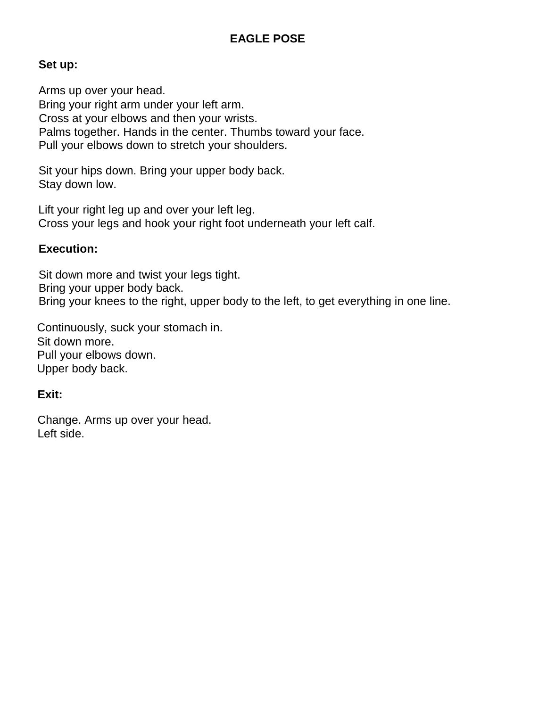# **EAGLE POSE**

### **Set up:**

Arms up over your head. Bring your right arm under your left arm. Cross at your elbows and then your wrists. Palms together. Hands in the center. Thumbs toward your face. Pull your elbows down to stretch your shoulders.

Sit your hips down. Bring your upper body back. Stay down low.

Lift your right leg up and over your left leg. Cross your legs and hook your right foot underneath your left calf.

#### **Execution:**

Sit down more and twist your legs tight. Bring your upper body back. Bring your knees to the right, upper body to the left, to get everything in one line.

Continuously, suck your stomach in. Sit down more. Pull your elbows down. Upper body back.

#### **Exit:**

Change. Arms up over your head. Left side.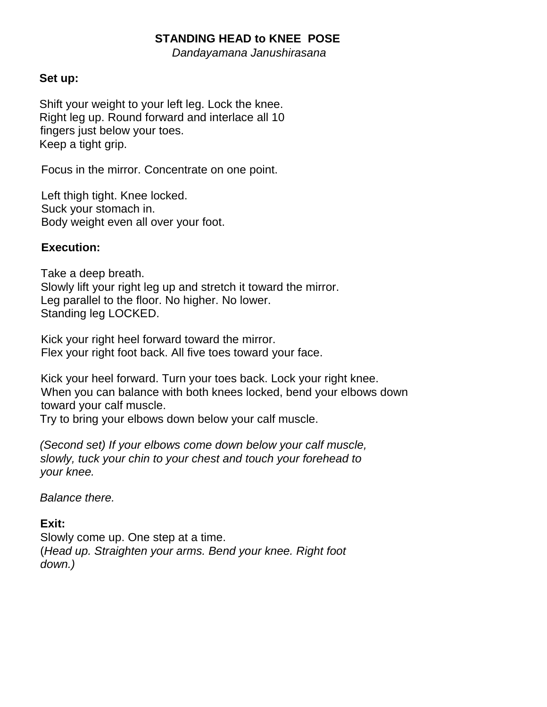## **STANDING HEAD to KNEE POSE**

*Dandayamana Janushirasana*

#### **Set up:**

Shift your weight to your left leg. Lock the knee. Right leg up. Round forward and interlace all 10 fingers just below your toes. Keep a tight grip.

Focus in the mirror. Concentrate on one point.

Left thigh tight. Knee locked. Suck your stomach in. Body weight even all over your foot.

#### **Execution:**

Take a deep breath. Slowly lift your right leg up and stretch it toward the mirror. Leg parallel to the floor. No higher. No lower. Standing leg LOCKED.

Kick your right heel forward toward the mirror. Flex your right foot back. All five toes toward your face.

Kick your heel forward. Turn your toes back. Lock your right knee. When you can balance with both knees locked, bend your elbows down toward your calf muscle.

Try to bring your elbows down below your calf muscle.

*(Second set) If your elbows come down below your calf muscle, slowly, tuck your chin to your chest and touch your forehead to your knee.*

*Balance there.*

#### **Exit:**

Slowly come up. One step at a time. (*Head up. Straighten your arms. Bend your knee. Right foot down.)*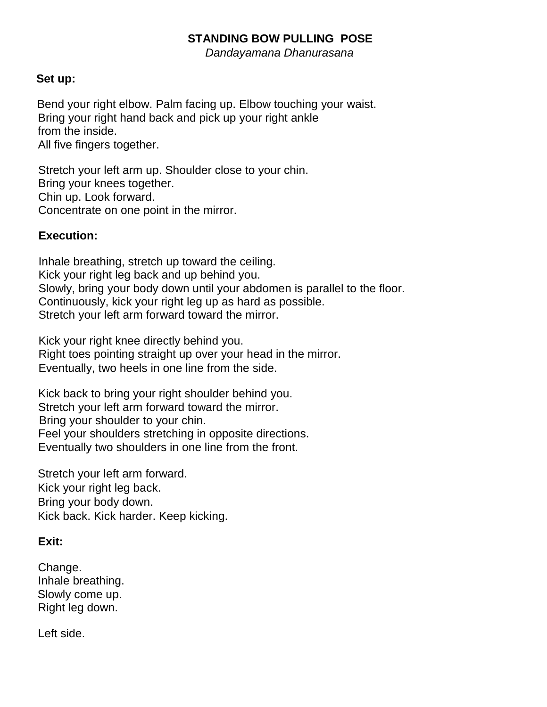## **STANDING BOW PULLING POSE**

*Dandayamana Dhanurasana*

### **Set up:**

Bend your right elbow. Palm facing up. Elbow touching your waist. Bring your right hand back and pick up your right ankle from the inside. All five fingers together.

Stretch your left arm up. Shoulder close to your chin. Bring your knees together. Chin up. Look forward. Concentrate on one point in the mirror.

#### **Execution:**

Inhale breathing, stretch up toward the ceiling. Kick your right leg back and up behind you. Slowly, bring your body down until your abdomen is parallel to the floor. Continuously, kick your right leg up as hard as possible. Stretch your left arm forward toward the mirror.

Kick your right knee directly behind you. Right toes pointing straight up over your head in the mirror. Eventually, two heels in one line from the side.

Kick back to bring your right shoulder behind you. Stretch your left arm forward toward the mirror. Bring your shoulder to your chin. Feel your shoulders stretching in opposite directions. Eventually two shoulders in one line from the front.

Stretch your left arm forward. Kick your right leg back. Bring your body down. Kick back. Kick harder. Keep kicking.

#### **Exit:**

Change. Inhale breathing. Slowly come up. Right leg down.

Left side.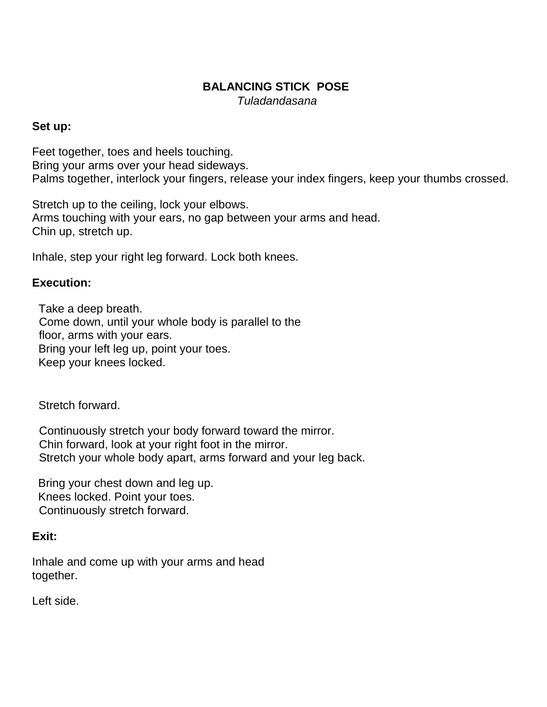## **BALANCING STICK POSE**

*Tuladandasana*

### **Set up:**

Feet together, toes and heels touching. Bring your arms over your head sideways. Palms together, interlock your fingers, release your index fingers, keep your thumbs crossed.

Stretch up to the ceiling, lock your elbows. Arms touching with your ears, no gap between your arms and head. Chin up, stretch up.

Inhale, step your right leg forward. Lock both knees.

### **Execution:**

Take a deep breath. Come down, until your whole body is parallel to the floor, arms with your ears. Bring your left leg up, point your toes. Keep your knees locked.

Stretch forward.

Continuously stretch your body forward toward the mirror. Chin forward, look at your right foot in the mirror. Stretch your whole body apart, arms forward and your leg back.

Bring your chest down and leg up. Knees locked. Point your toes. Continuously stretch forward.

#### **Exit:**

Inhale and come up with your arms and head together.

Left side.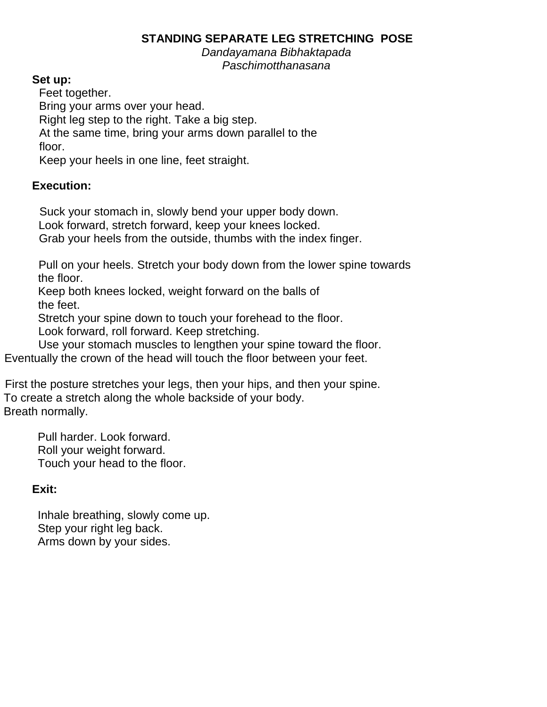## **STANDING SEPARATE LEG STRETCHING POSE**

*Dandayamana Bibhaktapada Paschimotthanasana*

**Set up:**

Feet together. Bring your arms over your head. Right leg step to the right. Take a big step. At the same time, bring your arms down parallel to the floor.

Keep your heels in one line, feet straight.

## **Execution:**

Suck your stomach in, slowly bend your upper body down. Look forward, stretch forward, keep your knees locked. Grab your heels from the outside, thumbs with the index finger.

Pull on your heels. Stretch your body down from the lower spine towards the floor.

Keep both knees locked, weight forward on the balls of the feet.

Stretch your spine down to touch your forehead to the floor.

Look forward, roll forward. Keep stretching.

Use your stomach muscles to lengthen your spine toward the floor.

Eventually the crown of the head will touch the floor between your feet.

First the posture stretches your legs, then your hips, and then your spine. To create a stretch along the whole backside of your body. Breath normally.

Pull harder. Look forward. Roll your weight forward. Touch your head to the floor.

## **Exit:**

Inhale breathing, slowly come up. Step your right leg back. Arms down by your sides.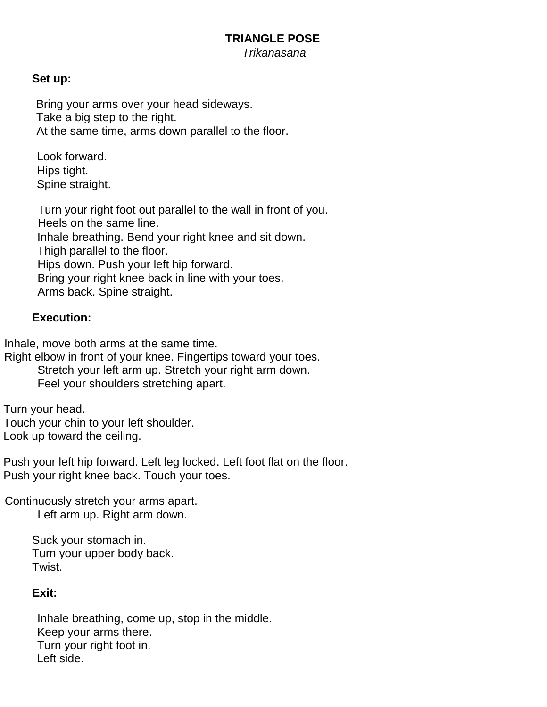## **TRIANGLE POSE**

*Trikanasana*

### **Set up:**

Bring your arms over your head sideways. Take a big step to the right. At the same time, arms down parallel to the floor.

Look forward. Hips tight. Spine straight.

Turn your right foot out parallel to the wall in front of you. Heels on the same line. Inhale breathing. Bend your right knee and sit down. Thigh parallel to the floor. Hips down. Push your left hip forward. Bring your right knee back in line with your toes. Arms back. Spine straight.

## **Execution:**

Inhale, move both arms at the same time.

Right elbow in front of your knee. Fingertips toward your toes. Stretch your left arm up. Stretch your right arm down. Feel your shoulders stretching apart.

Turn your head. Touch your chin to your left shoulder.

Look up toward the ceiling.

Push your left hip forward. Left leg locked. Left foot flat on the floor. Push your right knee back. Touch your toes.

Continuously stretch your arms apart. Left arm up. Right arm down.

> Suck your stomach in. Turn your upper body back. Twist.

## **Exit:**

Inhale breathing, come up, stop in the middle. Keep your arms there. Turn your right foot in. Left side.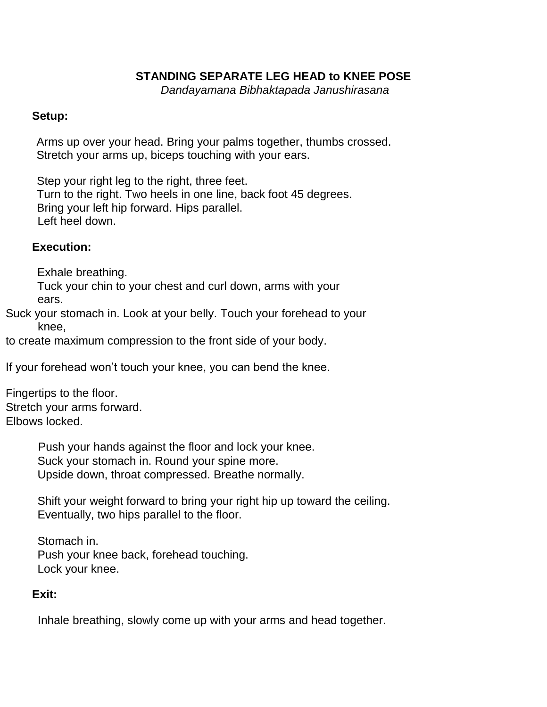## **STANDING SEPARATE LEG HEAD to KNEE POSE**

*Dandayamana Bibhaktapada Janushirasana*

### **Setup:**

Arms up over your head. Bring your palms together, thumbs crossed. Stretch your arms up, biceps touching with your ears.

Step your right leg to the right, three feet. Turn to the right. Two heels in one line, back foot 45 degrees. Bring your left hip forward. Hips parallel. Left heel down.

## **Execution:**

Exhale breathing.

Tuck your chin to your chest and curl down, arms with your ears.

Suck your stomach in. Look at your belly. Touch your forehead to your knee,

to create maximum compression to the front side of your body.

If your forehead won't touch your knee, you can bend the knee.

Fingertips to the floor. Stretch your arms forward. Elbows locked.

> Push your hands against the floor and lock your knee. Suck your stomach in. Round your spine more. Upside down, throat compressed. Breathe normally.

Shift your weight forward to bring your right hip up toward the ceiling. Eventually, two hips parallel to the floor.

Stomach in. Push your knee back, forehead touching. Lock your knee.

#### **Exit:**

Inhale breathing, slowly come up with your arms and head together.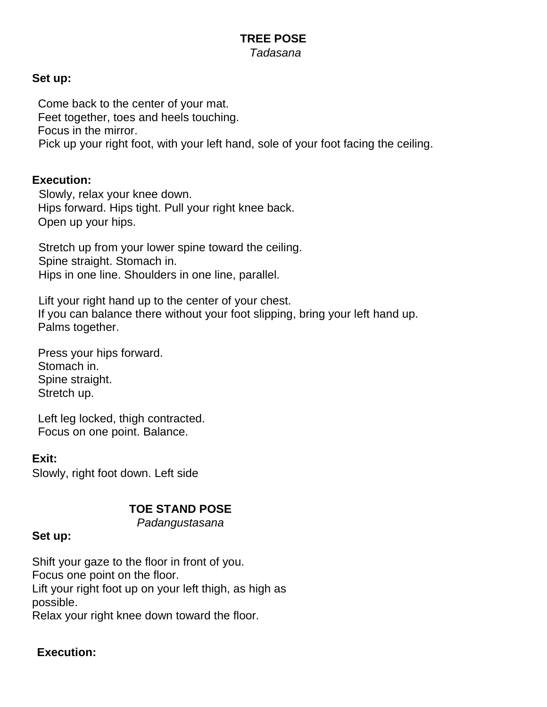### **TREE POSE** *Tadasana*

### **Set up:**

Come back to the center of your mat. Feet together, toes and heels touching. Focus in the mirror. Pick up your right foot, with your left hand, sole of your foot facing the ceiling.

#### **Execution:**

Slowly, relax your knee down. Hips forward. Hips tight. Pull your right knee back. Open up your hips.

Stretch up from your lower spine toward the ceiling. Spine straight. Stomach in. Hips in one line. Shoulders in one line, parallel.

Lift your right hand up to the center of your chest. If you can balance there without your foot slipping, bring your left hand up. Palms together.

Press your hips forward. Stomach in. Spine straight. Stretch up.

Left leg locked, thigh contracted. Focus on one point. Balance.

#### **Exit:**

Slowly, right foot down. Left side

## **TOE STAND POSE**

*Padangustasana*

## **Set up:**

Shift your gaze to the floor in front of you. Focus one point on the floor. Lift your right foot up on your left thigh, as high as possible.

Relax your right knee down toward the floor.

## **Execution:**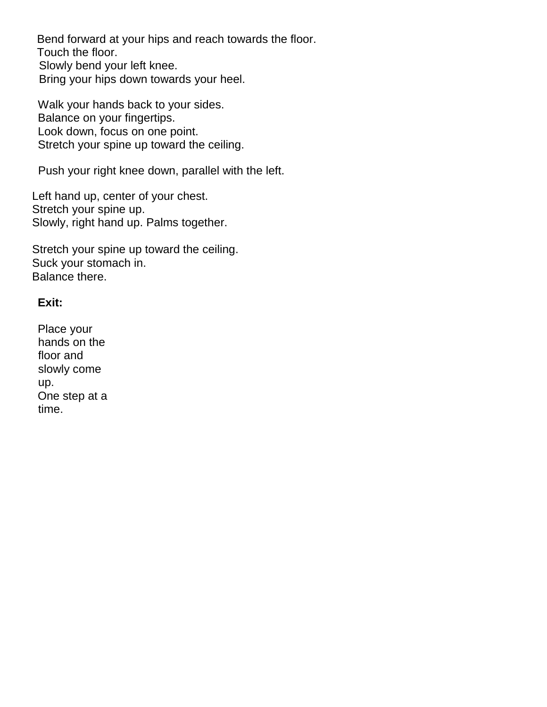Bend forward at your hips and reach towards the floor. Touch the floor. Slowly bend your left knee. Bring your hips down towards your heel.

Walk your hands back to your sides. Balance on your fingertips. Look down, focus on one point. Stretch your spine up toward the ceiling.

Push your right knee down, parallel with the left.

Left hand up, center of your chest. Stretch your spine up. Slowly, right hand up. Palms together.

Stretch your spine up toward the ceiling. Suck your stomach in. Balance there.

## **Exit:**

Place your hands on the floor and slowly come up. One step at a time.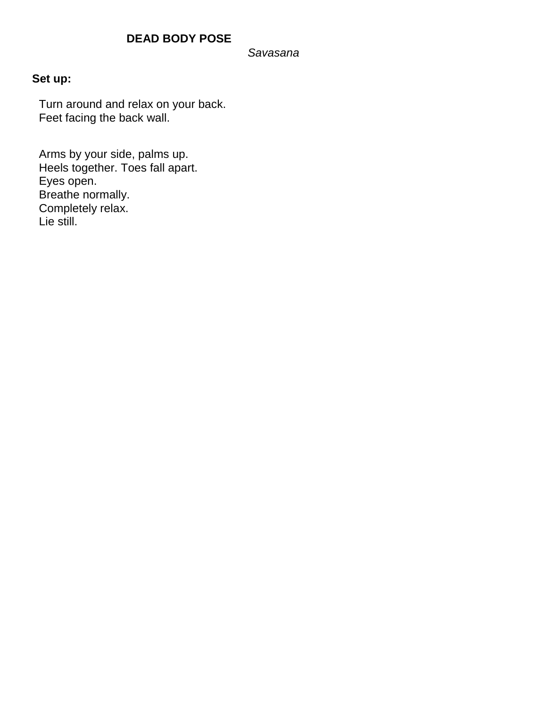#### *Savasana*

## **Set up:**

Turn around and relax on your back. Feet facing the back wall.

Arms by your side, palms up. Heels together. Toes fall apart. Eyes open. Breathe normally. Completely relax. Lie still.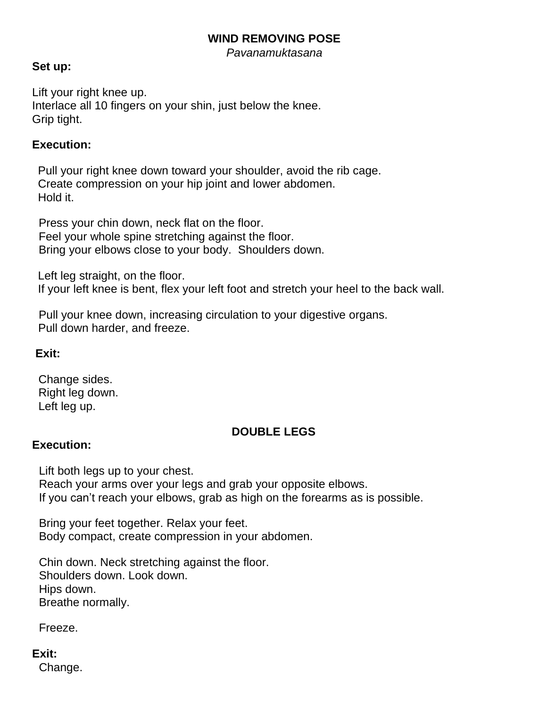## **WIND REMOVING POSE**

*Pavanamuktasana*

## **Set up:**

Lift your right knee up. Interlace all 10 fingers on your shin, just below the knee. Grip tight.

### **Execution:**

Pull your right knee down toward your shoulder, avoid the rib cage. Create compression on your hip joint and lower abdomen. Hold it.

Press your chin down, neck flat on the floor. Feel your whole spine stretching against the floor. Bring your elbows close to your body. Shoulders down.

Left leg straight, on the floor. If your left knee is bent, flex your left foot and stretch your heel to the back wall.

Pull your knee down, increasing circulation to your digestive organs. Pull down harder, and freeze.

#### **Exit:**

Change sides. Right leg down. Left leg up.

## **DOUBLE LEGS**

#### **Execution:**

Lift both legs up to your chest. Reach your arms over your legs and grab your opposite elbows. If you can't reach your elbows, grab as high on the forearms as is possible.

Bring your feet together. Relax your feet. Body compact, create compression in your abdomen.

Chin down. Neck stretching against the floor. Shoulders down. Look down. Hips down. Breathe normally.

Freeze.

## **Exit:**

Change.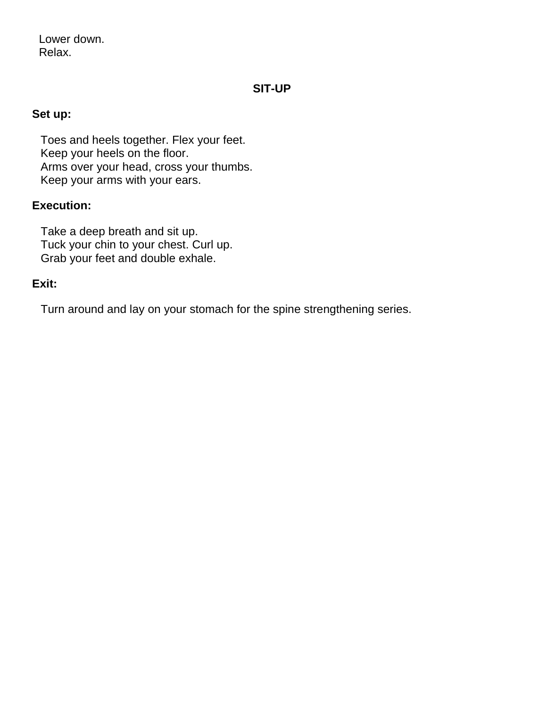Lower down. Relax.

### **SIT-UP**

## **Set up:**

Toes and heels together. Flex your feet. Keep your heels on the floor. Arms over your head, cross your thumbs. Keep your arms with your ears.

## **Execution:**

Take a deep breath and sit up. Tuck your chin to your chest. Curl up. Grab your feet and double exhale.

### **Exit:**

Turn around and lay on your stomach for the spine strengthening series.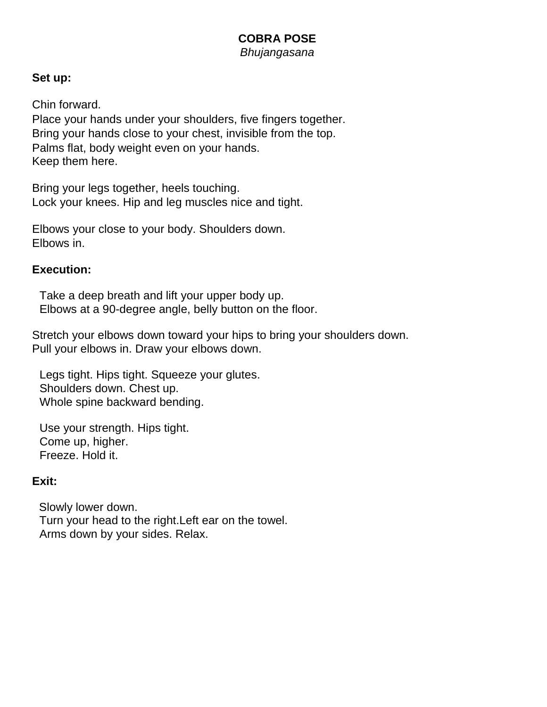### **COBRA POSE** *Bhujangasana*

### **Set up:**

Chin forward. Place your hands under your shoulders, five fingers together. Bring your hands close to your chest, invisible from the top. Palms flat, body weight even on your hands. Keep them here.

Bring your legs together, heels touching. Lock your knees. Hip and leg muscles nice and tight.

Elbows your close to your body. Shoulders down. Elbows in.

## **Execution:**

Take a deep breath and lift your upper body up. Elbows at a 90-degree angle, belly button on the floor.

Stretch your elbows down toward your hips to bring your shoulders down. Pull your elbows in. Draw your elbows down.

Legs tight. Hips tight. Squeeze your glutes. Shoulders down. Chest up. Whole spine backward bending.

Use your strength. Hips tight. Come up, higher. Freeze. Hold it.

#### **Exit:**

Slowly lower down. Turn your head to the right.Left ear on the towel. Arms down by your sides. Relax.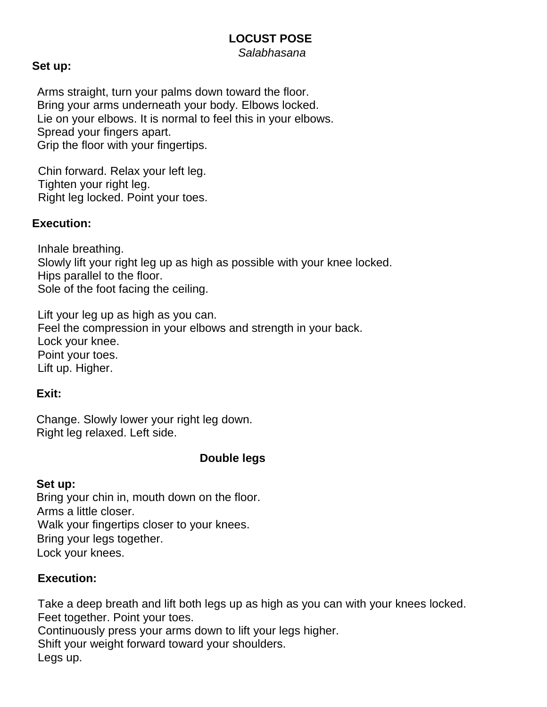# **LOCUST POSE**

### *Salabhasana*

## **Set up:**

Arms straight, turn your palms down toward the floor. Bring your arms underneath your body. Elbows locked. Lie on your elbows. It is normal to feel this in your elbows. Spread your fingers apart. Grip the floor with your fingertips.

Chin forward. Relax your left leg. Tighten your right leg. Right leg locked. Point your toes.

## **Execution:**

Inhale breathing. Slowly lift your right leg up as high as possible with your knee locked. Hips parallel to the floor. Sole of the foot facing the ceiling.

Lift your leg up as high as you can. Feel the compression in your elbows and strength in your back. Lock your knee. Point your toes. Lift up. Higher.

## **Exit:**

Change. Slowly lower your right leg down. Right leg relaxed. Left side.

## **Double legs**

## **Set up:**

Bring your chin in, mouth down on the floor. Arms a little closer. Walk your fingertips closer to your knees. Bring your legs together. Lock your knees.

## **Execution:**

Take a deep breath and lift both legs up as high as you can with your knees locked. Feet together. Point your toes.

Continuously press your arms down to lift your legs higher. Shift your weight forward toward your shoulders. Legs up.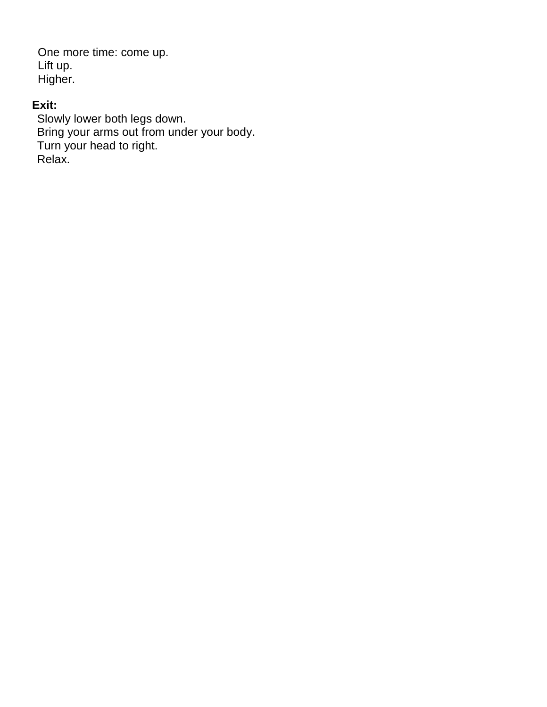One more time: come up. Lift up. Higher.

# **Exit:**

Slowly lower both legs down. Bring your arms out from under your body. Turn your head to right. Relax.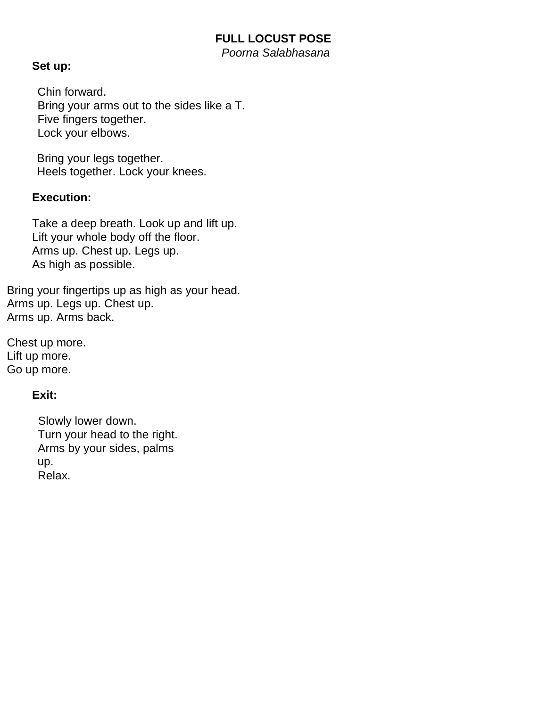# **FULL LOCUST POSE**

*Poorna Salabhasana*

## **Set up:**

Chin forward. Bring your arms out to the sides like a T. Five fingers together. Lock your elbows.

Bring your legs together. Heels together. Lock your knees.

### **Execution:**

Take a deep breath. Look up and lift up. Lift your whole body off the floor. Arms up. Chest up. Legs up. As high as possible.

Bring your fingertips up as high as your head. Arms up. Legs up. Chest up. Arms up. Arms back.

Chest up more. Lift up more. Go up more.

#### **Exit:**

Slowly lower down. Turn your head to the right. Arms by your sides, palms up. Relax.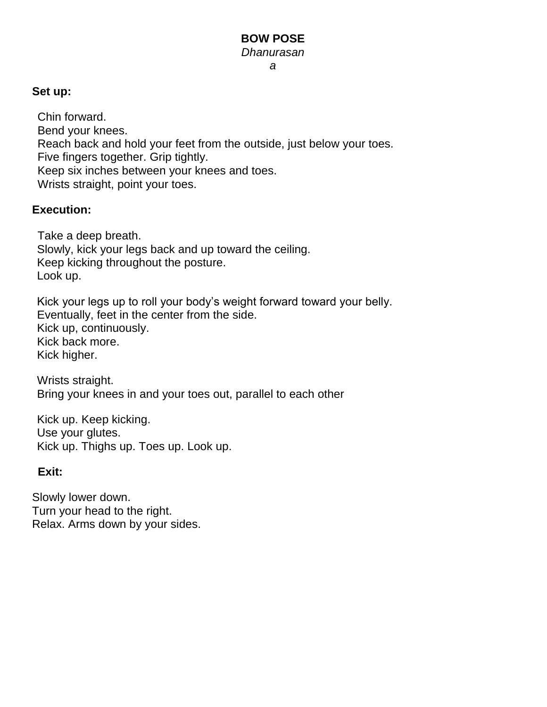# **BOW POSE** *Dhanurasan*

*a*

## **Set up:**

Chin forward. Bend your knees. Reach back and hold your feet from the outside, just below your toes. Five fingers together. Grip tightly. Keep six inches between your knees and toes. Wrists straight, point your toes.

## **Execution:**

Take a deep breath. Slowly, kick your legs back and up toward the ceiling. Keep kicking throughout the posture. Look up.

Kick your legs up to roll your body's weight forward toward your belly. Eventually, feet in the center from the side. Kick up, continuously. Kick back more. Kick higher.

Wrists straight. Bring your knees in and your toes out, parallel to each other

Kick up. Keep kicking. Use your glutes. Kick up. Thighs up. Toes up. Look up.

## **Exit:**

Slowly lower down. Turn your head to the right. Relax. Arms down by your sides.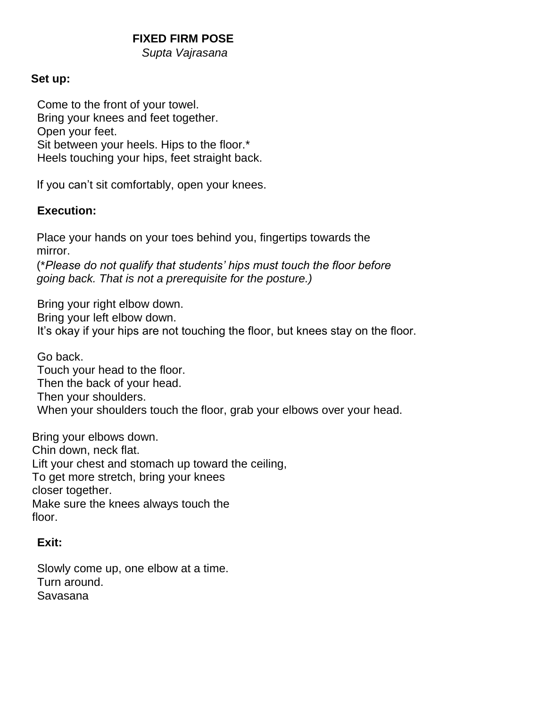## **FIXED FIRM POSE**

*Supta Vajrasana*

#### **Set up:**

Come to the front of your towel. Bring your knees and feet together. Open your feet. Sit between your heels. Hips to the floor.\* Heels touching your hips, feet straight back.

If you can't sit comfortably, open your knees.

#### **Execution:**

Place your hands on your toes behind you, fingertips towards the mirror.

(\**Please do not qualify that students' hips must touch the floor before going back. That is not a prerequisite for the posture.)*

Bring your right elbow down. Bring your left elbow down. It's okay if your hips are not touching the floor, but knees stay on the floor.

Go back. Touch your head to the floor. Then the back of your head. Then your shoulders. When your shoulders touch the floor, grab your elbows over your head.

Bring your elbows down. Chin down, neck flat. Lift your chest and stomach up toward the ceiling, To get more stretch, bring your knees closer together. Make sure the knees always touch the floor.

#### **Exit:**

Slowly come up, one elbow at a time. Turn around. Savasana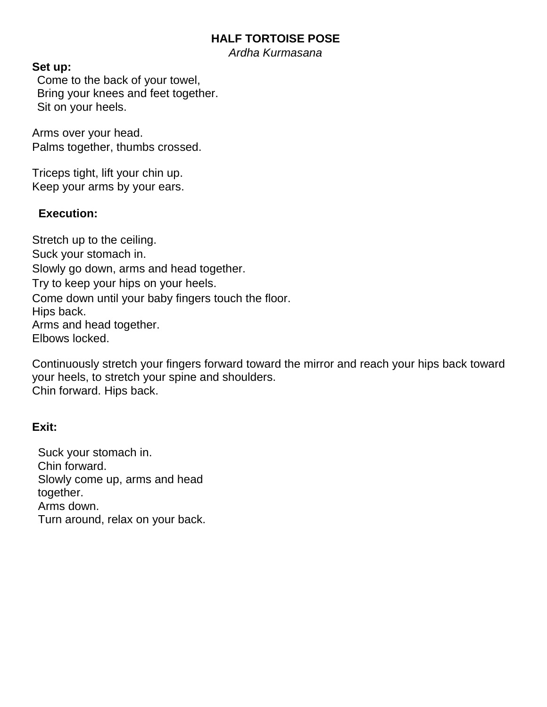## **HALF TORTOISE POSE**

*Ardha Kurmasana*

#### **Set up:**

Come to the back of your towel, Bring your knees and feet together. Sit on your heels.

Arms over your head. Palms together, thumbs crossed.

Triceps tight, lift your chin up. Keep your arms by your ears.

### **Execution:**

Stretch up to the ceiling. Suck your stomach in. Slowly go down, arms and head together. Try to keep your hips on your heels. Come down until your baby fingers touch the floor. Hips back. Arms and head together. Elbows locked.

Continuously stretch your fingers forward toward the mirror and reach your hips back toward your heels, to stretch your spine and shoulders. Chin forward. Hips back.

#### **Exit:**

Suck your stomach in. Chin forward. Slowly come up, arms and head together. Arms down. Turn around, relax on your back.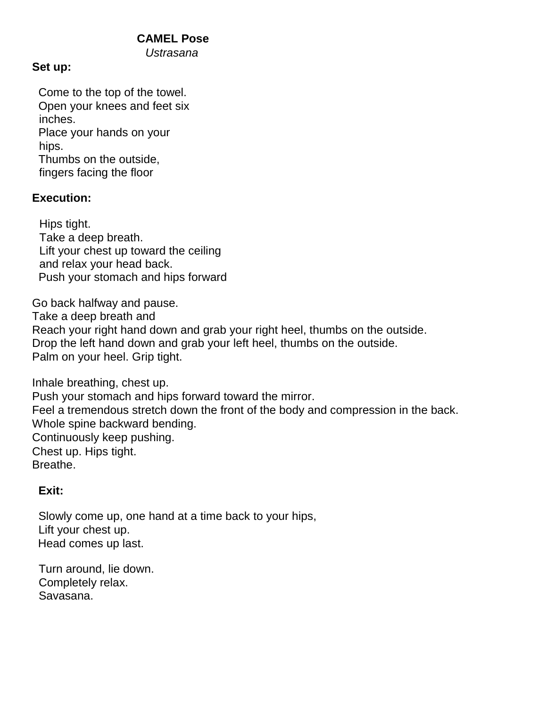### **CAMEL Pose**

*Ustrasana*

## **Set up:**

Come to the top of the towel. Open your knees and feet six inches. Place your hands on your hips. Thumbs on the outside, fingers facing the floor

## **Execution:**

Hips tight. Take a deep breath. Lift your chest up toward the ceiling and relax your head back. Push your stomach and hips forward

Go back halfway and pause. Take a deep breath and Reach your right hand down and grab your right heel, thumbs on the outside. Drop the left hand down and grab your left heel, thumbs on the outside. Palm on your heel. Grip tight.

Inhale breathing, chest up. Push your stomach and hips forward toward the mirror. Feel a tremendous stretch down the front of the body and compression in the back. Whole spine backward bending. Continuously keep pushing. Chest up. Hips tight. Breathe.

## **Exit:**

Slowly come up, one hand at a time back to your hips, Lift your chest up. Head comes up last.

Turn around, lie down. Completely relax. Savasana.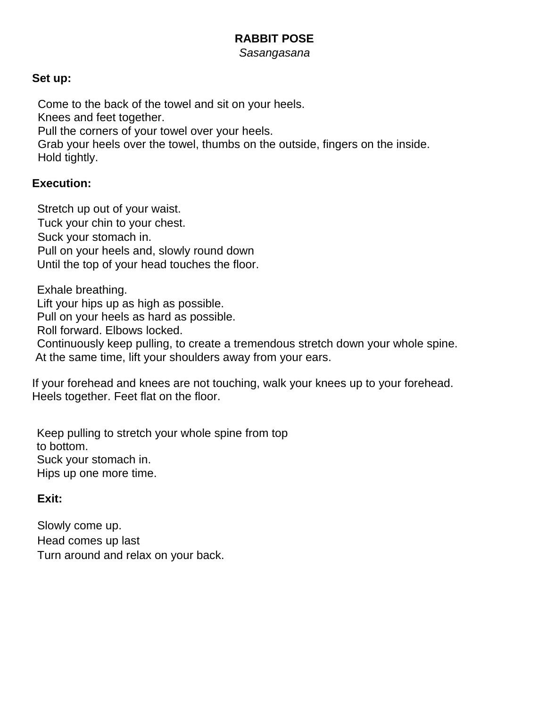## **RABBIT POSE**

*Sasangasana*

### **Set up:**

Come to the back of the towel and sit on your heels. Knees and feet together. Pull the corners of your towel over your heels.

Grab your heels over the towel, thumbs on the outside, fingers on the inside. Hold tightly.

## **Execution:**

Stretch up out of your waist. Tuck your chin to your chest. Suck your stomach in. Pull on your heels and, slowly round down Until the top of your head touches the floor.

Exhale breathing. Lift your hips up as high as possible. Pull on your heels as hard as possible. Roll forward. Elbows locked. Continuously keep pulling, to create a tremendous stretch down your whole spine. At the same time, lift your shoulders away from your ears.

If your forehead and knees are not touching, walk your knees up to your forehead. Heels together. Feet flat on the floor.

Keep pulling to stretch your whole spine from top to bottom. Suck your stomach in. Hips up one more time.

## **Exit:**

Slowly come up. Head comes up last Turn around and relax on your back.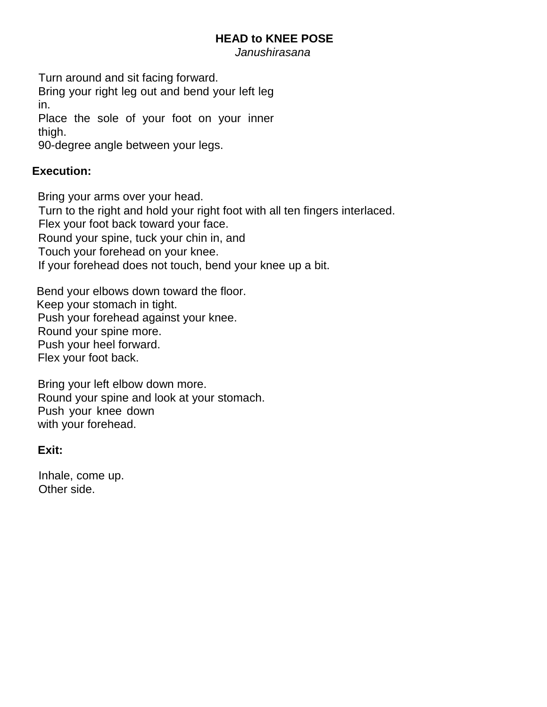## **HEAD to KNEE POSE**

*Janushirasana*

Turn around and sit facing forward.

Bring your right leg out and bend your left leg in.

Place the sole of your foot on your inner thigh.

90-degree angle between your legs.

## **Execution:**

Bring your arms over your head. Turn to the right and hold your right foot with all ten fingers interlaced. Flex your foot back toward your face. Round your spine, tuck your chin in, and Touch your forehead on your knee. If your forehead does not touch, bend your knee up a bit.

Bend your elbows down toward the floor. Keep your stomach in tight. Push your forehead against your knee. Round your spine more. Push your heel forward. Flex your foot back.

Bring your left elbow down more. Round your spine and look at your stomach. Push your knee down with your forehead.

## **Exit:**

Inhale, come up. Other side.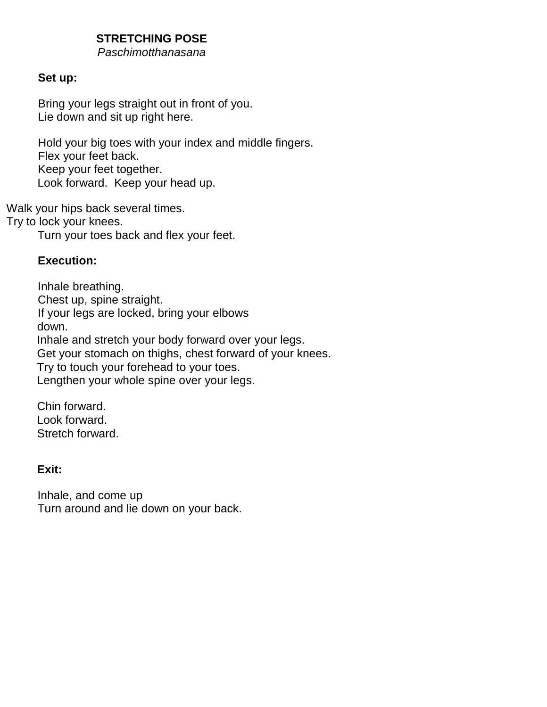## **STRETCHING POSE**

*Paschimotthanasana*

#### **Set up:**

Bring your legs straight out in front of you. Lie down and sit up right here.

Hold your big toes with your index and middle fingers. Flex your feet back. Keep your feet together. Look forward. Keep your head up.

Walk your hips back several times.

Try to lock your knees.

Turn your toes back and flex your feet.

### **Execution:**

Inhale breathing. Chest up, spine straight. If your legs are locked, bring your elbows down. Inhale and stretch your body forward over your legs. Get your stomach on thighs, chest forward of your knees. Try to touch your forehead to your toes. Lengthen your whole spine over your legs.

Chin forward. Look forward. Stretch forward.

#### **Exit:**

Inhale, and come up Turn around and lie down on your back.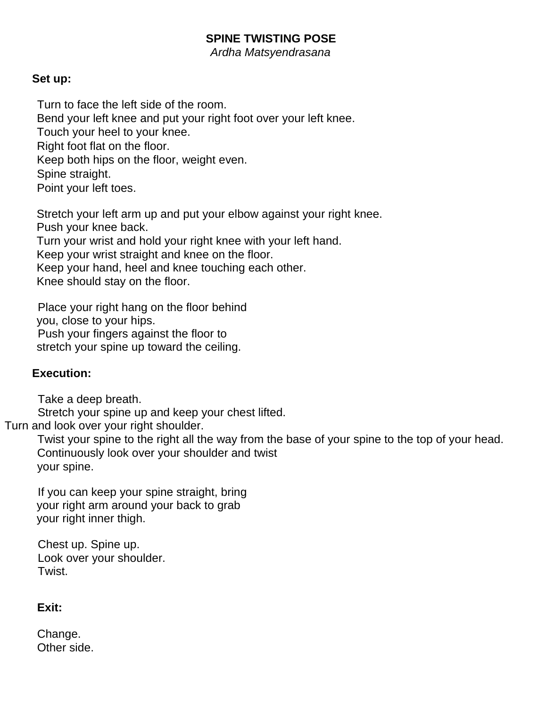## **SPINE TWISTING POSE**

*Ardha Matsyendrasana*

#### **Set up:**

Turn to face the left side of the room. Bend your left knee and put your right foot over your left knee. Touch your heel to your knee. Right foot flat on the floor. Keep both hips on the floor, weight even. Spine straight. Point your left toes.

Stretch your left arm up and put your elbow against your right knee. Push your knee back. Turn your wrist and hold your right knee with your left hand.

Keep your wrist straight and knee on the floor.

Keep your hand, heel and knee touching each other.

Knee should stay on the floor.

Place your right hang on the floor behind you, close to your hips. Push your fingers against the floor to stretch your spine up toward the ceiling.

#### **Execution:**

Take a deep breath.

Stretch your spine up and keep your chest lifted.

Turn and look over your right shoulder.

Twist your spine to the right all the way from the base of your spine to the top of your head. Continuously look over your shoulder and twist your spine.

If you can keep your spine straight, bring your right arm around your back to grab your right inner thigh.

Chest up. Spine up. Look over your shoulder. Twist.

#### **Exit:**

Change. Other side.